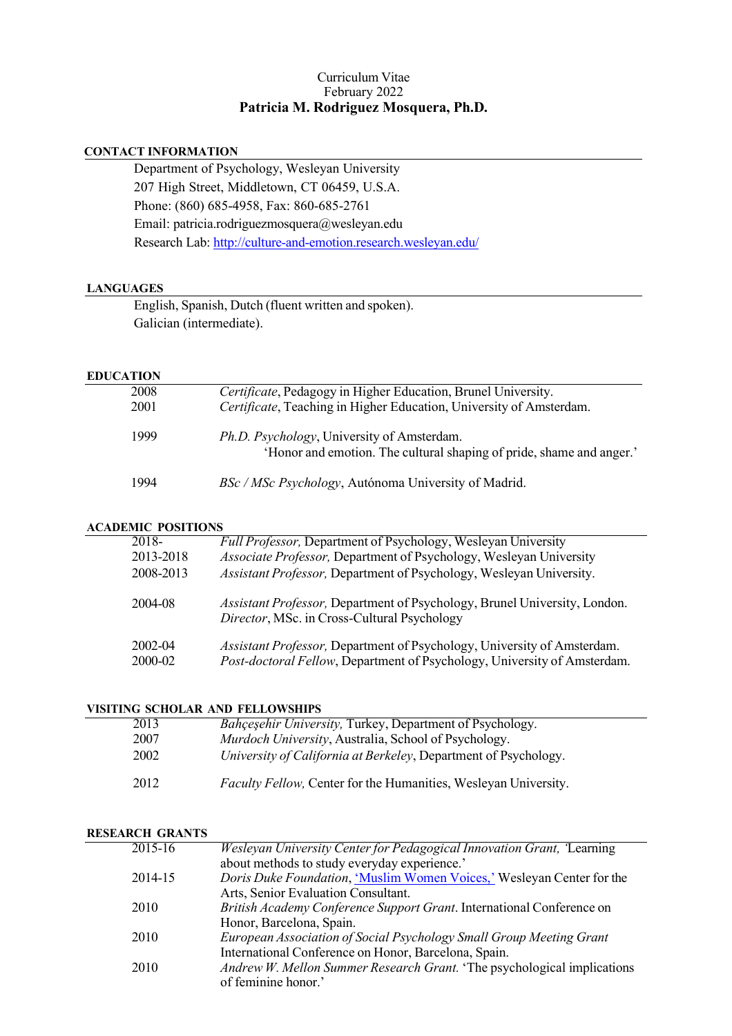### Curriculum Vitae February 2022 **Patricia M. Rodriguez Mosquera, Ph.D.**

## **CONTACT INFORMATION**

Department of Psychology, Wesleyan University 207 High Street, Middletown, CT 06459, U.S.A. Phone: (860) 685-4958, Fax: 860-685-2761 Email: [patricia.rodriguezmosquera@wesleyan.edu](mailto:patricia.rodriguezmosquera@wesleyan.edu) Research Lab[: http://culture-and-emotion.research.wesleyan.edu/](http://culture-and-emotion.research.wesleyan.edu/)

#### **LANGUAGES**

English, Spanish, Dutch (fluent written and spoken). Galician (intermediate).

#### **EDUCATION**

| 2008<br>2001 | Certificate, Pedagogy in Higher Education, Brunel University.<br>Certificate, Teaching in Higher Education, University of Amsterdam. |
|--------------|--------------------------------------------------------------------------------------------------------------------------------------|
| 1999         | <i>Ph.D. Psychology</i> , University of Amsterdam.<br>'Honor and emotion. The cultural shaping of pride, shame and anger.'           |
| 1994         | BSc / MSc Psychology, Autónoma University of Madrid.                                                                                 |

#### **ACADEMIC POSITIONS**

| 2018-     | <b>Full Professor, Department of Psychology, Wesleyan University</b>                                                     |
|-----------|--------------------------------------------------------------------------------------------------------------------------|
| 2013-2018 | Associate Professor, Department of Psychology, Wesleyan University                                                       |
| 2008-2013 | Assistant Professor, Department of Psychology, Wesleyan University.                                                      |
| 2004-08   | Assistant Professor, Department of Psychology, Brunel University, London.<br>Director, MSc. in Cross-Cultural Psychology |
| 2002-04   | Assistant Professor, Department of Psychology, University of Amsterdam.                                                  |
| 2000-02   | Post-doctoral Fellow, Department of Psychology, University of Amsterdam.                                                 |

#### **VISITING SCHOLAR AND FELLOWSHIPS**

| 2013 | <b>Bahçeşehir University, Turkey, Department of Psychology.</b> |
|------|-----------------------------------------------------------------|
| 2007 | Murdoch University, Australia, School of Psychology.            |
| 2002 | University of California at Berkeley, Department of Psychology. |
| 2012 | Faculty Fellow, Center for the Humanities, Wesleyan University. |

#### **RESEARCH GRANTS**

| 2015-16 | Wesleyan University Center for Pedagogical Innovation Grant, Learning   |
|---------|-------------------------------------------------------------------------|
|         | about methods to study everyday experience.'                            |
| 2014-15 | Doris Duke Foundation, 'Muslim Women Voices,' Wesleyan Center for the   |
|         | Arts, Senior Evaluation Consultant.                                     |
| 2010    | British Academy Conference Support Grant. International Conference on   |
|         | Honor, Barcelona, Spain.                                                |
| 2010    | European Association of Social Psychology Small Group Meeting Grant     |
|         | International Conference on Honor, Barcelona, Spain.                    |
| 2010    | Andrew W. Mellon Summer Research Grant. 'The psychological implications |
|         | of feminine honor.'                                                     |
|         |                                                                         |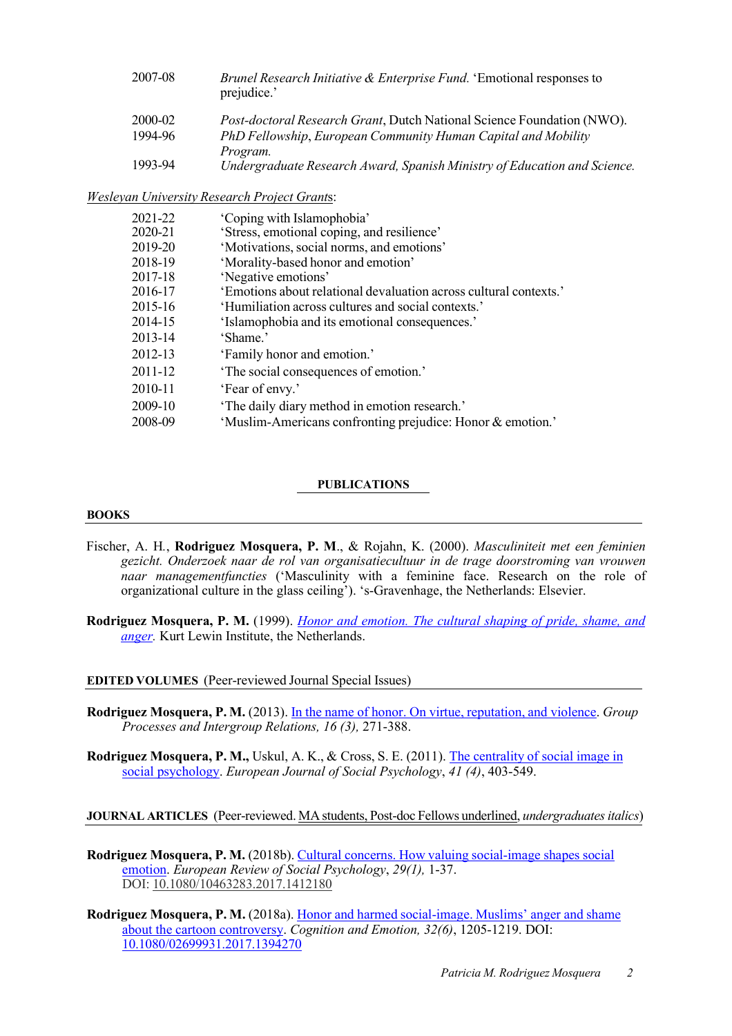| 2007-08 | <i>Brunel Research Initiative &amp; Enterprise Fund.</i> 'Emotional responses to<br>prejudice.' |
|---------|-------------------------------------------------------------------------------------------------|
| 2000-02 | Post-doctoral Research Grant, Dutch National Science Foundation (NWO).                          |
| 1994-96 | PhD Fellowship, European Community Human Capital and Mobility<br>Program.                       |
| 1993-94 | Undergraduate Research Award, Spanish Ministry of Education and Science.                        |

*Wesleyan University Research Project Grant*s:

| 2021-22 | 'Coping with Islamophobia'                                        |
|---------|-------------------------------------------------------------------|
| 2020-21 | 'Stress, emotional coping, and resilience'                        |
| 2019-20 | 'Motivations, social norms, and emotions'                         |
| 2018-19 | 'Morality-based honor and emotion'                                |
| 2017-18 | 'Negative emotions'                                               |
| 2016-17 | 'Emotions about relational devaluation across cultural contexts.' |
| 2015-16 | 'Humiliation across cultures and social contexts.'                |
| 2014-15 | 'Islamophobia and its emotional consequences.'                    |
| 2013-14 | 'Shame.'                                                          |
| 2012-13 | 'Family honor and emotion.'                                       |
| 2011-12 | 'The social consequences of emotion.'                             |
| 2010-11 | 'Fear of envy.'                                                   |
| 2009-10 | 'The daily diary method in emotion research.'                     |
| 2008-09 | 'Muslim-Americans confronting prejudice: Honor & emotion.'        |

#### **PUBLICATIONS**

#### **BOOKS**

- Fischer, A. H*.*, **Rodriguez Mosquera, P. M**., & Rojahn, K. (2000). *Masculiniteit met een feminien gezicht. Onderzoek naar de rol van organisatiecultuur in de trage doorstroming van vrouwen naar managementfuncties* ('Masculinity with a feminine face. Research on the role of organizational culture in the glass ceiling'). 's-Gravenhage, the Netherlands: Elsevier.
- **Rodriguez Mosquera, P. M.** (1999). *[Honor and emotion. The cultural shaping of pride, shame, and](http://dare.uva.nl/search?arno.record.id=77029) [anger.](http://dare.uva.nl/search?arno.record.id=77029)* Kurt Lewin Institute, the Netherlands.

**EDITED VOLUMES** (Peer-reviewed Journal Special Issues)

**Rodriguez Mosquera, P. M.** (2013). In the name of honor. On [virtue, reputation, and violence.](http://gpi.sagepub.com/content/16/3.toc?etoc) *Group Processes and Intergroup Relations, 16 (3),* 271-388.

**Rodriguez Mosquera, P. M.,** Uskul, A. K., & Cross, S. E. (2011). The [centrality of social](http://onlinelibrary.wiley.com/doi/10.1002/ejsp.v41.4/issuetoc) image in [social psychology.](http://onlinelibrary.wiley.com/doi/10.1002/ejsp.v41.4/issuetoc) *European Journal of Social Psychology*, *41 (4)*, 403-549.

**JOURNAL ARTICLES** (Peer-reviewed. MA students, Post-doc Fellows underlined, *undergraduatesitalics*)

- **Rodriguez Mosquera, P. M.** (2018b). Cultural concerns. [How valuing social-image](http://dx.doi.org/10.1080/10463283.2017.1412180) shapes social [emotion.](http://dx.doi.org/10.1080/10463283.2017.1412180) *European Review of Social Psychology*, *29(1),* 1-37. DOI: [10.1080/10463283.2017.1412180](https://doi.org/10.1080/10463283.2017.1412180)
- **Rodriguez Mosquera, P. M.** (2018a). Honor and harmed social-image. [Muslims' anger and shame](https://doi.org/10.1080/02699931.2017.1394270) [about the cartoon controversy.](https://doi.org/10.1080/02699931.2017.1394270) *Cognition and Emotion, 32(6)*, 1205-1219. DOI: [10.1080/02699931.2017.1394270](https://doi.org/10.1080/02699931.2017.1394270)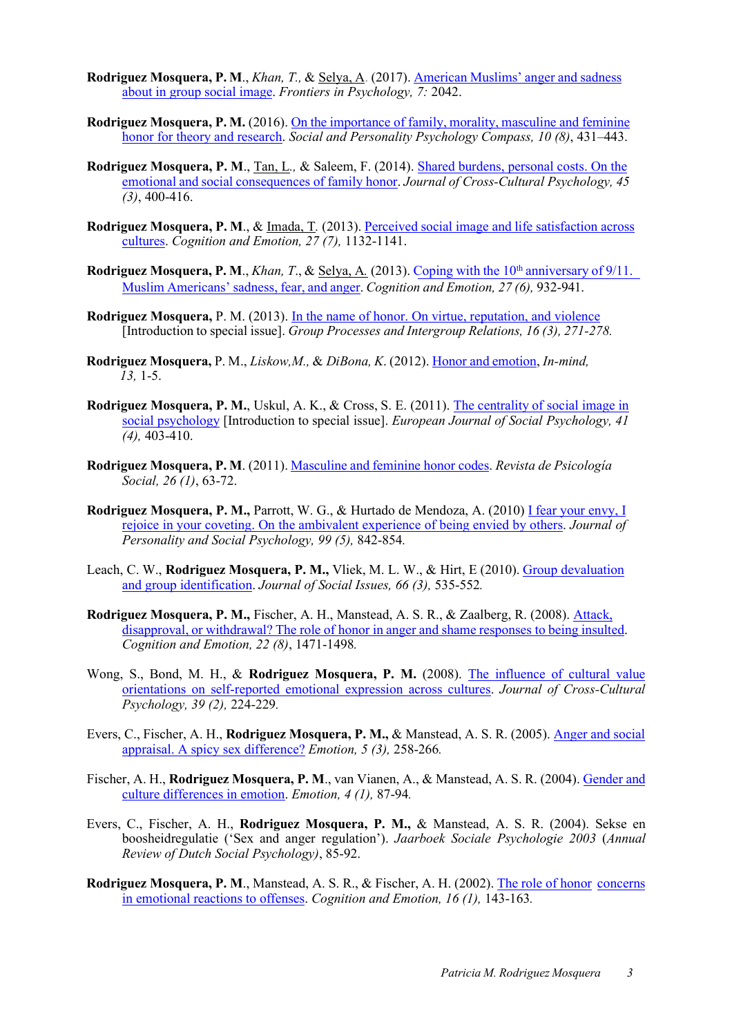- **Rodriguez Mosquera, P. M**., *Khan, T.,* & Selya, A. (2017). American [Muslims' anger and](http://journal.frontiersin.org/article/10.3389/fpsyg.2016.02042/full) sadness [about in group social image.](http://journal.frontiersin.org/article/10.3389/fpsyg.2016.02042/full) *Frontiers in Psychology, 7:* 2042.
- **Rodriguez Mosquera, P. M.** (2016). On the importance of family, morality, [masculine and feminine](https://www.researchgate.net/publication/305802969_On_the_Importance_of_Family_Morality_Masculine_and_Feminine_Honor_for_Theory_and_Research_Facets_of_Honor) [honor for theory and research.](https://www.researchgate.net/publication/305802969_On_the_Importance_of_Family_Morality_Masculine_and_Feminine_Honor_for_Theory_and_Research_Facets_of_Honor) *Social and Personality Psychology Compass, 10 (8)*, 431–443.
- **Rodriguez Mosquera, P. M**., Tan, L*.,* & Saleem, F. (2014). [Shared burdens, personal costs. On the](http://journals.sagepub.com/doi/abs/10.1177/0022022113511299) [emotional and social consequences of](http://journals.sagepub.com/doi/abs/10.1177/0022022113511299) family honor. *Journal of Cross-Cultural Psychology, 45 (3)*, 400-416.
- **Rodriguez Mosquera, P. M**., & Imada, T*.* (2013). Perceived social image and life [satisfaction](http://www.tandfonline.com/doi/abs/10.1080/02699931.2013.767222) across [cultures.](http://www.tandfonline.com/doi/abs/10.1080/02699931.2013.767222) *Cognition and Emotion, 27 (7),* 1132-1141.
- **Rodriguez Mosquera, P. M.,** *Khan, T., & Selya, A.* **(2013). Coping with the 10<sup>th</sup> [anniversary of 9/11.](https://www.ncbi.nlm.nih.gov/pubmed/23237357)** Muslim Americans' sadness, [fear, and anger.](https://www.ncbi.nlm.nih.gov/pubmed/23237357) *Cognition and Emotion, 27 (6),* 932-941.
- **Rodriguez Mosquera,** P. M. (2013). [In the name of honor. On virtue, reputation, and violence](http://journals.sagepub.com/doi/abs/10.1177/1368430212472590?journalCode=gpia) [Introduction to special issue]. *Group Processes and Intergroup Relations, 16 (3), 271-278.*
- **Rodriguez Mosquera,** P. M., *Liskow,M.,* & *DiBona, K*. (2012)[. Honor and emotion,](https://www.academia.edu/30490348/Honor_and_Emotion) *In-mind, 13,* 1-5.
- **Rodriguez Mosquera, P. M.**, Uskul, A. K., & Cross, S. E. (2011). The centrality [of social image](https://www.academia.edu/15361027/The_centrality_of_social_image_in_social_psychology) in [social psychology](https://www.academia.edu/15361027/The_centrality_of_social_image_in_social_psychology) [Introduction to special issue]. *European Journal of Social Psychology, 41 (4),* 403-410.
- **Rodriguez Mosquera, P. M**. (2011)[. Masculine and feminine honor codes.](http://www.tandfonline.com/doi/abs/10.1174/021347411794078499) *Revista de Psicología Social, 26 (1)*, 63-72.
- **Rodriguez Mosquera, P. M.,** Parrott, W. G., & Hurtado de Mendoza, A. (2010) I fear [your envy, I](https://www.academia.edu/30898712/I_fear_your_envy_I_rejoice_in_your_coveting_On_the_ambivalent_experience_of_being_envied_by_others) [rejoice in your coveting. On the](https://www.academia.edu/30898712/I_fear_your_envy_I_rejoice_in_your_coveting_On_the_ambivalent_experience_of_being_envied_by_others) ambivalent experience of being envied by others. *Journal of Personality and Social Psychology, 99 (5),* 842-854*.*
- Leach, C. W., **Rodriguez Mosquera, P. M.,** Vliek, M. L. W., & Hirt, E (2010). [Group devaluation](http://onlinelibrary.wiley.com/doi/10.1111/j.1540-4560.2010.01661.x/full) [and group identification.](http://onlinelibrary.wiley.com/doi/10.1111/j.1540-4560.2010.01661.x/full) *Journal of Social Issues, 66 (3),* 535-552*.*
- **Rodriguez Mosquera, P. M.,** Fischer, A. H., Manstead, A. S. R., & Zaalberg, R. (2008). [Attack,](https://www.researchgate.net/publication/42582140_Attack_disapproval_or_withdrawal_The_role_of_honor_in_anger_and_shame_responses_to_being_insulted) disapproval, or withdrawal? The role of honor in [anger and shame responses to being insulted.](https://www.researchgate.net/publication/42582140_Attack_disapproval_or_withdrawal_The_role_of_honor_in_anger_and_shame_responses_to_being_insulted) *Cognition and Emotion, 22 (8)*, 1471-1498*.*
- Wong, S., Bond, M. H., & Rodriguez Mosquera, P. M. (2008). [The influence of cultural value](https://www.researchgate.net/publication/247723992_The_Influence_of_Cultural_Value_Orientations_On_Self-Reported_Emotional_Expression_Across_Cultures) [orientations on self-reported emotional expression across cultures.](https://www.researchgate.net/publication/247723992_The_Influence_of_Cultural_Value_Orientations_On_Self-Reported_Emotional_Expression_Across_Cultures) *Journal of Cross-Cultural Psychology, 39 (2),* 224-229*.*
- Evers, C., Fischer, A. H., **Rodriguez Mosquera, P. M.,** & Manstead, A. S. R. (2005). [Anger and social](http://selfregulationlab.nl/wp-content/uploads/2012/04/Evers_2005_E.pdf) [appraisal. A spicy sex difference?](http://selfregulationlab.nl/wp-content/uploads/2012/04/Evers_2005_E.pdf) *Emotion, 5 (3),* 258-266*.*
- Fischer, A. H., **Rodriguez Mosquera, P. M**., van Vianen, A., & Manstead, A. S. R. (2004). [Gender](http://psycnet.apa.org/psycinfo/2004-12159-006) [and](http://psycnet.apa.org/psycinfo/2004-12159-006) [culture differences in emotion.](http://psycnet.apa.org/psycinfo/2004-12159-006) *Emotion, 4 (1),* 87-94*.*
- Evers, C., Fischer, A. H., **Rodriguez Mosquera, P. M.,** & Manstead, A. S. R. (2004). Sekse en boosheidregulatie ('Sex and anger regulation'). *Jaarboek Sociale Psychologie 2003* (*Annual Review of Dutch Social Psychology)*, 85-92.
- **Rodriguez Mosquera, P. M**., Manstead, A. S. R., & Fischer, A. H. (2002). The [role of honor](http://www.tandfonline.com/doi/abs/10.1080/02699930143000167) [concerns](http://www.tandfonline.com/doi/abs/10.1080/02699930143000167) [in emotional reactions to offenses.](http://www.tandfonline.com/doi/abs/10.1080/02699930143000167) *Cognition and Emotion, 16 (1),* 143-163*.*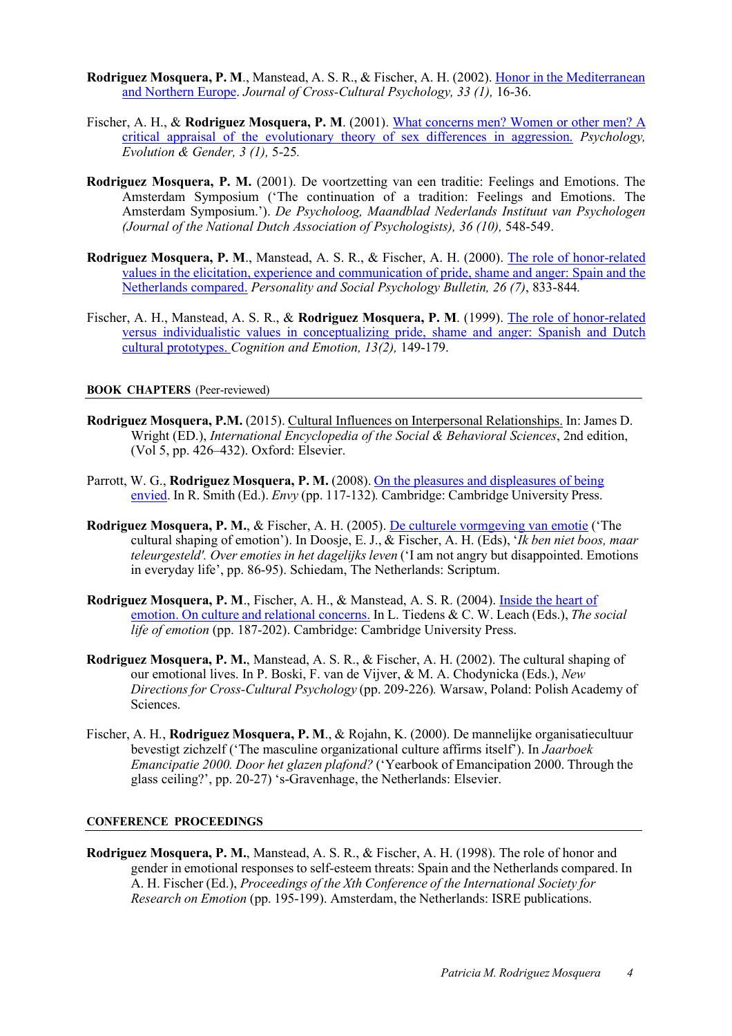- **Rodriguez Mosquera, P. M**., Manstead, A. S. R., & Fischer, A. H. (2002). [Honor in](http://journals.sagepub.com/doi/abs/10.1177/0022022102033001002) the [Mediterranean](http://journals.sagepub.com/doi/abs/10.1177/0022022102033001002) [and Northern Europe.](http://journals.sagepub.com/doi/abs/10.1177/0022022102033001002) *Journal of Cross-Cultural Psychology, 33 (1),* 16-36.
- Fischer, A. H., & **Rodriguez Mosquera, P. M**. (2001). What concerns [men? Women or other men? A](http://www.tandfonline.com/doi/abs/10.1080/14616660110049564?journalCode=rpeg19) [critical appraisal of the evolutionary theory of sex differences in aggression.](http://www.tandfonline.com/doi/abs/10.1080/14616660110049564?journalCode=rpeg19) *Psychology, Evolution & Gender, 3 (1),* 5-25*.*
- **Rodriguez Mosquera, P. M.** (2001). De voortzetting van een traditie: Feelings and Emotions. The Amsterdam Symposium ('The continuation of a tradition: Feelings and Emotions. The Amsterdam Symposium.'). *De Psycholoog, Maandblad Nederlands Instituut van Psychologen (Journal of the National Dutch Association of Psychologists), 36 (10),* 548-549.
- **Rodriguez Mosquera, P. M**., Manstead, A. S. R., & Fischer, A. H. (2000). [The role of honor-related](http://journals.sagepub.com/doi/abs/10.1177/0146167200269008) values in the elicitation, [experience and communication of pride,](http://journals.sagepub.com/doi/abs/10.1177/0146167200269008) shame and anger: Spain and [the](http://journals.sagepub.com/doi/abs/10.1177/0146167200269008) [Netherlands compared.](http://journals.sagepub.com/doi/abs/10.1177/0146167200269008) *Personality and Social Psychology Bulletin, 26 (7)*, 833-844*.*
- Fischer, A. H., Manstead, A. S. R., & **Rodriguez Mosquera, P. M**. (1999). [The role of honor-related](http://www.tandfonline.com/doi/abs/10.1080/026999399379311?journalCode=pcem20) [versus individualistic values in conceptualizing pride, shame and anger: Spanish and Dutch](http://www.tandfonline.com/doi/abs/10.1080/026999399379311?journalCode=pcem20) [cultural prototypes.](http://www.tandfonline.com/doi/abs/10.1080/026999399379311?journalCode=pcem20) *Cognition and Emotion, 13(2),* 149-179.

#### **BOOK CHAPTERS** (Peer-reviewed)

- **Rodriguez Mosquera, P.M.** (2015). Cultural [Influences on Interpersonal Relationships.](http://www.sciencedirect.com/science/article/pii/B9780080970868240543) In: James D. Wright (ED.), *International Encyclopedia of the Social & Behavioral Sciences*, 2nd edition, (Vol 5, pp. 426–432). Oxford: Elsevier.
- Parrott, W. G., **Rodriguez Mosquera, P. M.** (2008). On the pleasures and displeasures of being envied. In R. Smith (Ed.). *Envy* (pp. 117-132)*.* Cambridge: Cambridge University Press.
- **Rodriguez Mosquera, P. M.**, & Fischer, A. H. (2005). [De culturele vormgeving van emotie \(](http://dare.uva.nl/search?identifier=808ff240-b576-44ec-bc40-32bca581a2f0)'The cultural shaping of emotion'). In Doosje, E. J., & Fischer, A. H. (Eds), '*Ik ben niet boos, maar teleurgesteld'. Over emoties in het dagelijks leven* ('I am not angry but disappointed. Emotions in everyday life', pp. 86-95). Schiedam, The Netherlands: Scriptum.
- **Rodriguez Mosquera, P. M**., Fischer, A. H., & Manstead, A. S. R. (2004). [Inside the heart of](https://www.cambridge.org/core/books/the-social-life-of-emotions/0A27CD53C87518BCBE2CDEE1FFDBB0A7) emotion. On [culture and relational concerns. I](https://www.cambridge.org/core/books/the-social-life-of-emotions/0A27CD53C87518BCBE2CDEE1FFDBB0A7)n L. Tiedens & C. W. Leach (Eds.), *The social life of emotion* (pp. 187-202). Cambridge: Cambridge University Press.
- **Rodriguez Mosquera, P. M.**, Manstead, A. S. R., & Fischer, A. H. (2002). The cultural shaping of our emotional lives. In P. Boski, F. van de Vijver, & M. A. Chodynicka (Eds.), *New Directions for Cross-Cultural Psychology* (pp. 209-226)*.* Warsaw, Poland: Polish Academy of Sciences.
- Fischer, A. H*.*, **Rodriguez Mosquera, P. M**., & Rojahn, K. (2000). De mannelijke organisatiecultuur bevestigt zichzelf ('The masculine organizational culture affirms itself'). In *Jaarboek Emancipatie 2000. Door het glazen plafond?* ('Yearbook of Emancipation 2000. Through the glass ceiling?', pp. 20-27) 's-Gravenhage, the Netherlands: Elsevier.

#### **CONFERENCE PROCEEDINGS**

**Rodriguez Mosquera, P. M.**, Manstead, A. S. R., & Fischer, A. H. (1998). The role of honor and gender in emotional responses to self-esteem threats: Spain and the Netherlands compared. In A. H. Fischer (Ed.), *Proceedings of the Xth Conference of the International Society for Research on Emotion* (pp. 195-199). Amsterdam, the Netherlands: ISRE publications.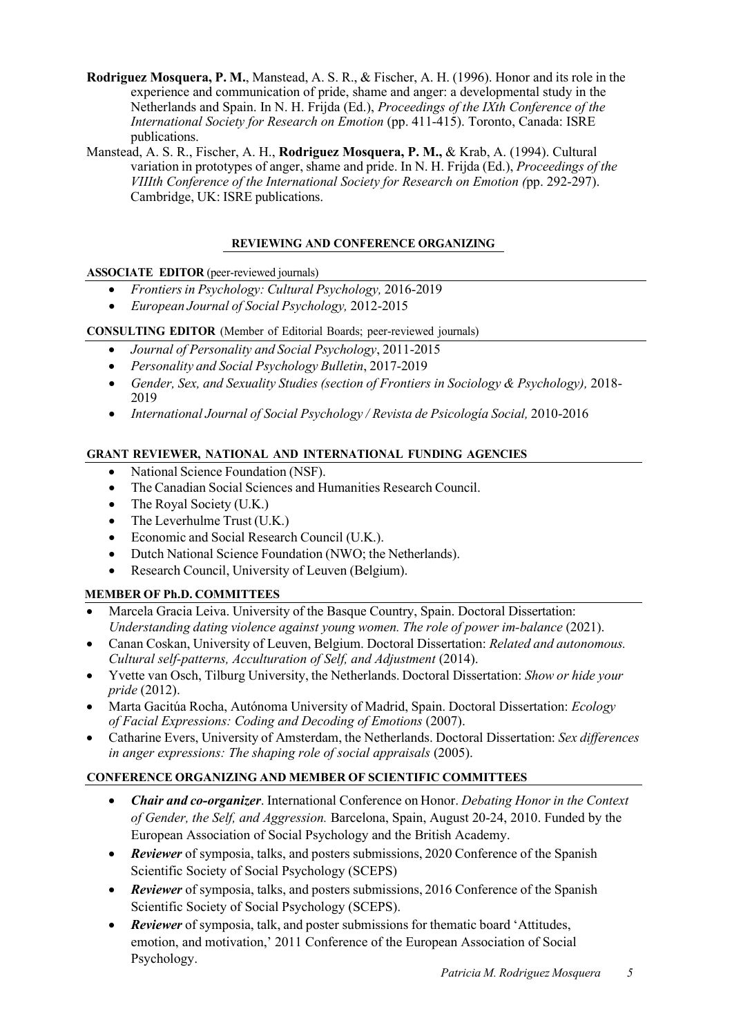- **Rodriguez Mosquera, P. M.**, Manstead, A. S. R., & Fischer, A. H. (1996). Honor and its role in the experience and communication of pride, shame and anger: a developmental study in the Netherlands and Spain. In N. H. Frijda (Ed.), *Proceedings of the IXth Conference of the International Society for Research on Emotion (pp. 411-415). Toronto, Canada: ISRE* publications.
- Manstead, A. S. R., Fischer, A. H., **Rodriguez Mosquera, P. M.,** & Krab, A. (1994). Cultural variation in prototypes of anger, shame and pride. In N. H. Frijda (Ed.), *Proceedings of the VIIIth Conference of the International Society for Research on Emotion (*pp. 292-297). Cambridge, UK: ISRE publications.

# **REVIEWING AND CONFERENCE ORGANIZING**

# **ASSOCIATE EDITOR** (peer-reviewed journals)

- *Frontiersin Psychology: Cultural Psychology,* 2016-2019
- *European Journal of Social Psychology,* 2012-2015

# **CONSULTING EDITOR** (Member of Editorial Boards; peer-reviewed journals)

- *Journal of Personality and Social Psychology*, 2011-2015
- *Personality and Social Psychology Bulletin*, 2017-2019
- *Gender, Sex, and Sexuality Studies (section of Frontiers in Sociology & Psychology),* 2018- 2019
- *International Journal of Social Psychology / Revista de Psicología Social,* 2010-2016

# **GRANT REVIEWER, NATIONAL AND INTERNATIONAL FUNDING AGENCIES**

- National Science Foundation (NSF).
- The Canadian Social Sciences and Humanities Research Council.
- The Royal Society (U.K.)
- The Leverhulme Trust (U.K.)
- Economic and Social Research Council (U.K.).
- Dutch National Science Foundation (NWO; the Netherlands).
- Research Council, University of Leuven (Belgium).

# **MEMBER OF Ph.D. COMMITTEES**

- Marcela Gracia Leiva. University of the Basque Country, Spain. Doctoral Dissertation: *Understanding dating violence against young women. The role of power im-balance* (2021).
- Canan Coskan, University of Leuven, Belgium. Doctoral Dissertation: *Related and autonomous. Cultural self-patterns, Acculturation of Self, and Adjustment* (2014).
- Yvette van Osch, Tilburg University, the Netherlands. Doctoral Dissertation: *Show or hide your pride* (2012).
- Marta Gacitúa Rocha, Autónoma University of Madrid, Spain. Doctoral Dissertation: *Ecology of Facial Expressions: Coding and Decoding of Emotions* (2007).
- Catharine Evers, University of Amsterdam, the Netherlands. Doctoral Dissertation: *Sex differences in anger expressions: The shaping role of social appraisals* (2005).

# **CONFERENCE ORGANIZING AND MEMBER OF SCIENTIFIC COMMITTEES**

- *Chair and co-organizer*. International Conference on Honor. *Debating Honor in the Context of Gender, the Self, and Aggression.* Barcelona, Spain, August 20-24, 2010. Funded by the European Association of Social Psychology and the British Academy.
- *Reviewer* of symposia, talks, and posters submissions, 2020 Conference of the Spanish Scientific Society of Social Psychology (SCEPS)
- *Reviewer* of symposia, talks, and posters submissions, 2016 Conference of the Spanish Scientific Society of Social Psychology (SCEPS).
- *Reviewer* of symposia, talk, and poster submissions for thematic board 'Attitudes, emotion, and motivation,' 2011 Conference of the European Association of Social Psychology.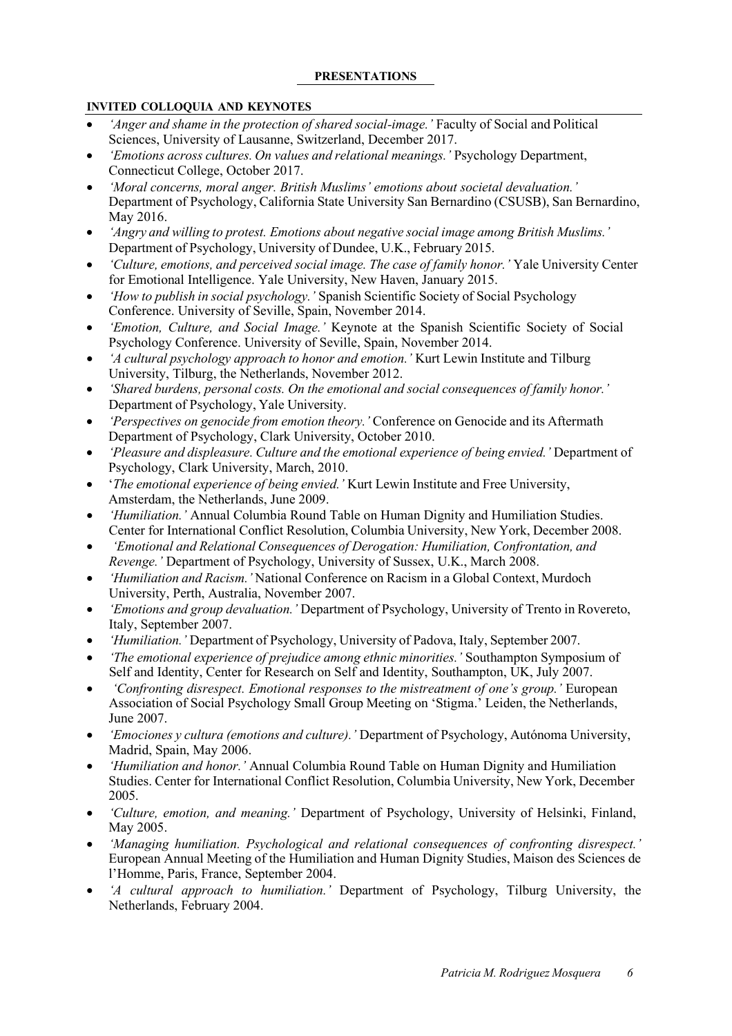### **PRESENTATIONS**

# **INVITED COLLOQUIA AND KEYNOTES**

- *'Anger and shame in the protection of shared social-image.'* Faculty of Social and Political Sciences, University of Lausanne, Switzerland, December 2017.
- *'Emotions across cultures. On values and relational meanings.'* Psychology Department, Connecticut College, October 2017.
- *'Moral concerns, moral anger. British Muslims' emotions about societal devaluation.'*  Department of Psychology, California State University San Bernardino (CSUSB), San Bernardino, May 2016.
- *'Angry and willing to protest. Emotions about negative social image among British Muslims.'* Department of Psychology, University of Dundee, U.K., February 2015.
- *'Culture, emotions, and perceived social image. The case of family honor.'* Yale University Center for Emotional Intelligence. Yale University, New Haven, January 2015.
- *'How to publish in social psychology.'* Spanish Scientific Society of Social Psychology Conference. University of Seville, Spain, November 2014.
- *'Emotion, Culture, and Social Image.'* Keynote at the Spanish Scientific Society of Social Psychology Conference. University of Seville, Spain, November 2014.
- *'A cultural psychology approach to honor and emotion.'* Kurt Lewin Institute and Tilburg University, Tilburg, the Netherlands, November 2012.
- *'Shared burdens, personal costs. On the emotional and social consequences of family honor.'* Department of Psychology, Yale University.
- *'Perspectives on genocide from emotion theory.'* Conference on Genocide and its Aftermath Department of Psychology, Clark University, October 2010.
- *'Pleasure and displeasure. Culture and the emotional experience of being envied.'* Department of Psychology, Clark University, March, 2010.
- '*The emotional experience of being envied.'* Kurt Lewin Institute and Free University, Amsterdam, the Netherlands, June 2009.
- *'Humiliation.'* Annual Columbia Round Table on Human Dignity and Humiliation Studies. Center for International Conflict Resolution, Columbia University, New York, December 2008.
- *'Emotional and Relational Consequences of Derogation: Humiliation, Confrontation, and Revenge.'* Department of Psychology, University of Sussex, U.K., March 2008.
- *'Humiliation and Racism.'* National Conference on Racism in a Global Context, Murdoch University, Perth, Australia, November 2007.
- *'Emotions and group devaluation.'* Department of Psychology, University of Trento in Rovereto, Italy, September 2007.
- *'Humiliation.'* Department of Psychology, University of Padova, Italy, September 2007.
- *'The emotional experience of prejudice among ethnic minorities.'* Southampton Symposium of Self and Identity, Center for Research on Self and Identity, Southampton, UK, July 2007.
- *'Confronting disrespect. Emotional responses to the mistreatment of one's group.'* European Association of Social Psychology Small Group Meeting on 'Stigma.' Leiden, the Netherlands, June 2007.
- *'Emociones y cultura (emotions and culture).'* Department of Psychology, Autónoma University, Madrid, Spain, May 2006.
- *'Humiliation and honor.'* Annual Columbia Round Table on Human Dignity and Humiliation Studies. Center for International Conflict Resolution, Columbia University, New York, December 2005.
- *'Culture, emotion, and meaning.'* Department of Psychology, University of Helsinki, Finland, May 2005.
- *'Managing humiliation. Psychological and relational consequences of confronting disrespect.'*  European Annual Meeting of the Humiliation and Human Dignity Studies, Maison des Sciences de l'Homme, Paris, France, September 2004.
- *'A cultural approach to humiliation.'* Department of Psychology, Tilburg University, the Netherlands, February 2004.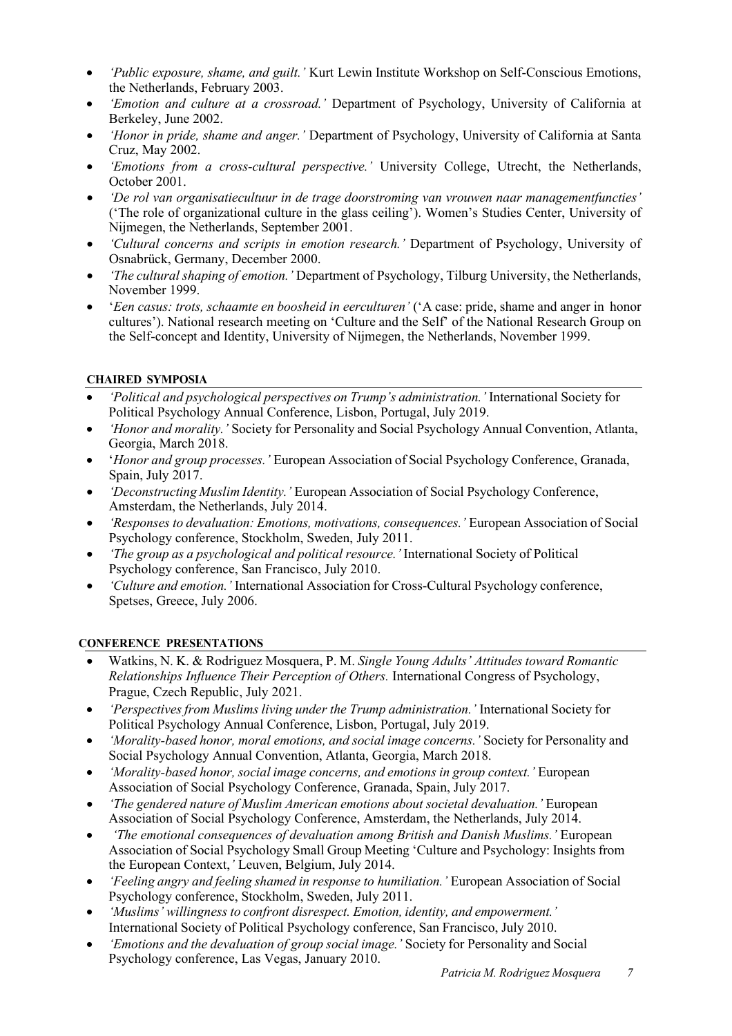- *'Public exposure, shame, and guilt.'* Kurt Lewin Institute Workshop on Self-Conscious Emotions, the Netherlands, February 2003.
- *'Emotion and culture at a crossroad.'* Department of Psychology, University of California at Berkeley, June 2002.
- *'Honor in pride, shame and anger.'* Department of Psychology, University of California at Santa Cruz, May 2002.
- *'Emotions from a cross-cultural perspective.'* University College, Utrecht, the Netherlands, October 2001.
- *'De rol van organisatiecultuur in de trage doorstroming van vrouwen naar managementfuncties'*  ('The role of organizational culture in the glass ceiling'). Women's Studies Center, University of Nijmegen, the Netherlands, September 2001.
- *'Cultural concerns and scripts in emotion research.'* Department of Psychology, University of Osnabrück, Germany, December 2000.
- *'The cultural shaping of emotion.'* Department of Psychology, Tilburg University, the Netherlands, November 1999.
- '*Een casus: trots, schaamte en boosheid in eerculturen'* ('A case: pride, shame and anger in honor cultures'). National research meeting on 'Culture and the Self' of the National Research Group on the Self-concept and Identity, University of Nijmegen, the Netherlands, November 1999.

# **CHAIRED SYMPOSIA**

- *'Political and psychological perspectives on Trump's administration.'* International Society for Political Psychology Annual Conference, Lisbon, Portugal, July 2019.
- *'Honor and morality.'* Society for Personality and Social Psychology Annual Convention, Atlanta, Georgia, March 2018.
- '*Honor and group processes.'* European Association of Social Psychology Conference, Granada, Spain, July 2017.
- *'Deconstructing Muslim Identity.'* European Association of Social Psychology Conference, Amsterdam, the Netherlands, July 2014.
- *'Responses to devaluation: Emotions, motivations, consequences.'* European Association of Social Psychology conference, Stockholm, Sweden, July 2011.
- *'The group as a psychological and political resource.'* International Society of Political Psychology conference, San Francisco, July 2010.
- *'Culture and emotion.'* International Association for Cross-Cultural Psychology conference, Spetses, Greece, July 2006.

#### **CONFERENCE PRESENTATIONS**

- Watkins, N. K. & Rodriguez Mosquera, P. M. *Single Young Adults' Attitudes toward Romantic Relationships Influence Their Perception of Others.* International Congress of Psychology, Prague, Czech Republic, July 2021.
- *'Perspectives from Muslims living under the Trump administration.'* International Society for Political Psychology Annual Conference, Lisbon, Portugal, July 2019.
- *'Morality-based honor, moral emotions, and social image concerns.'* Society for Personality and Social Psychology Annual Convention, Atlanta, Georgia, March 2018.
- *'Morality-based honor, social image concerns, and emotions in group context.'* European Association of Social Psychology Conference, Granada, Spain, July 2017.
- *'The gendered nature of Muslim American emotions about societal devaluation.'* European Association of Social Psychology Conference, Amsterdam, the Netherlands, July 2014.
- *'The emotional consequences of devaluation among British and Danish Muslims.'* European Association of Social Psychology Small Group Meeting 'Culture and Psychology: Insights from the European Context,*'* Leuven, Belgium, July 2014.
- *'Feeling angry and feeling shamed in response to humiliation.'* European Association of Social Psychology conference, Stockholm, Sweden, July 2011.
- *'Muslims' willingness to confront disrespect. Emotion, identity, and empowerment.'* International Society of Political Psychology conference, San Francisco, July 2010.
- *'Emotions and the devaluation of group social image.'* Society for Personality and Social Psychology conference, Las Vegas, January 2010.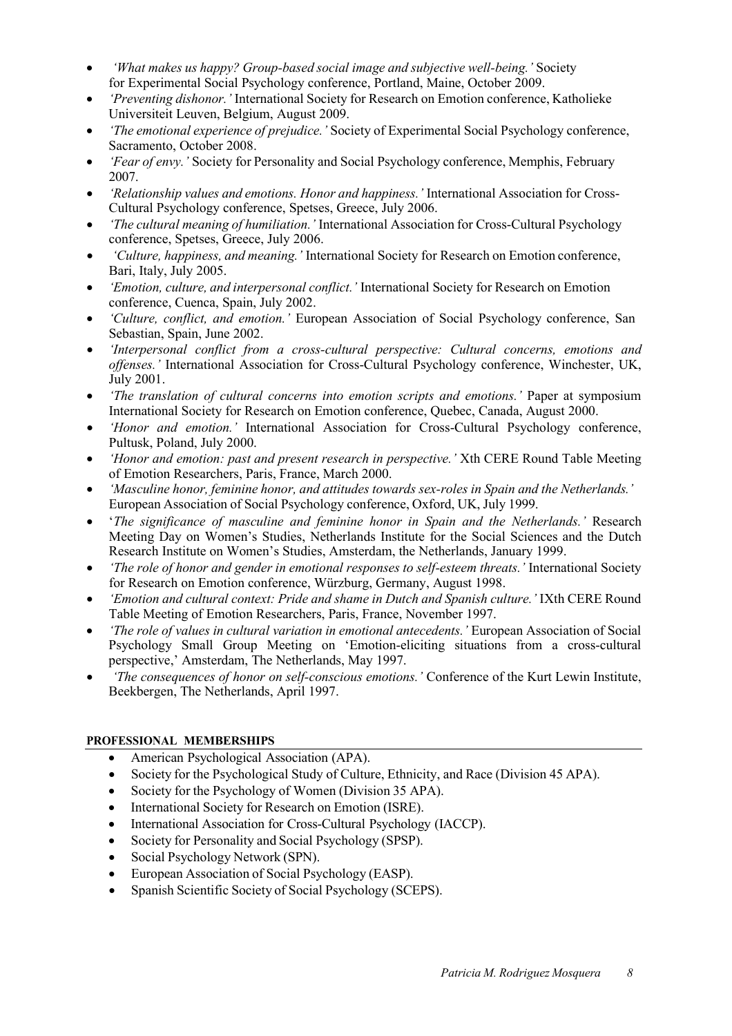- *'What makes us happy? Group-based social image and subjective well-being.'* Society for Experimental Social Psychology conference, Portland, Maine, October 2009.
- *'Preventing dishonor.'* International Society for Research on Emotion conference, Katholieke Universiteit Leuven, Belgium, August 2009.
- *'The emotional experience of prejudice.'* Society of Experimental Social Psychology conference, Sacramento, October 2008.
- *'Fear of envy.'* Society for Personality and Social Psychology conference, Memphis, February 2007.
- *'Relationship values and emotions. Honor and happiness.'* International Association for Cross-Cultural Psychology conference, Spetses, Greece, July 2006.
- *'The cultural meaning of humiliation.'* International Association for Cross-Cultural Psychology conference, Spetses, Greece, July 2006.
- *'Culture, happiness, and meaning.'* International Society for Research on Emotion conference, Bari, Italy, July 2005.
- *'Emotion, culture, and interpersonal conflict.'* International Society for Research on Emotion conference, Cuenca, Spain, July 2002.
- *'Culture, conflict, and emotion.'* European Association of Social Psychology conference, San Sebastian, Spain, June 2002.
- *'Interpersonal conflict from a cross-cultural perspective: Cultural concerns, emotions and offenses.'* International Association for Cross-Cultural Psychology conference, Winchester, UK, July 2001.
- *'The translation of cultural concerns into emotion scripts and emotions.'* Paper at symposium International Society for Research on Emotion conference, Quebec, Canada, August 2000.
- *'Honor and emotion.'* International Association for Cross-Cultural Psychology conference, Pultusk, Poland, July 2000.
- *'Honor and emotion: past and present research in perspective.'* Xth CERE Round Table Meeting of Emotion Researchers, Paris, France, March 2000.
- *'Masculine honor, feminine honor, and attitudes towards sex-roles in Spain and the Netherlands.'* European Association of Social Psychology conference, Oxford, UK, July 1999.
- '*The significance of masculine and feminine honor in Spain and the Netherlands.'* Research Meeting Day on Women's Studies, Netherlands Institute for the Social Sciences and the Dutch Research Institute on Women's Studies, Amsterdam, the Netherlands, January 1999.
- *'The role of honor and gender in emotional responses to self-esteem threats.'* International Society for Research on Emotion conference, Würzburg, Germany, August 1998.
- *'Emotion and cultural context: Pride and shame in Dutch and Spanish culture.'* IXth CERE Round Table Meeting of Emotion Researchers, Paris, France, November 1997.
- *'The role of values in cultural variation in emotional antecedents.'* European Association of Social Psychology Small Group Meeting on 'Emotion-eliciting situations from a cross-cultural perspective,' Amsterdam, The Netherlands, May 1997.
- *'The consequences of honor on self-conscious emotions.'* Conference of the Kurt Lewin Institute, Beekbergen, The Netherlands, April 1997.

# **PROFESSIONAL MEMBERSHIPS**

- American Psychological Association (APA).
- Society for the Psychological Study of Culture, Ethnicity, and Race (Division 45 APA).
- Society for the Psychology of Women (Division 35 APA).
- International Society for Research on Emotion (ISRE).
- International Association for Cross-Cultural Psychology (IACCP).
- Society for Personality and Social Psychology (SPSP).
- Social Psychology Network (SPN).
- European Association of Social Psychology (EASP).
- Spanish Scientific Society of Social Psychology (SCEPS).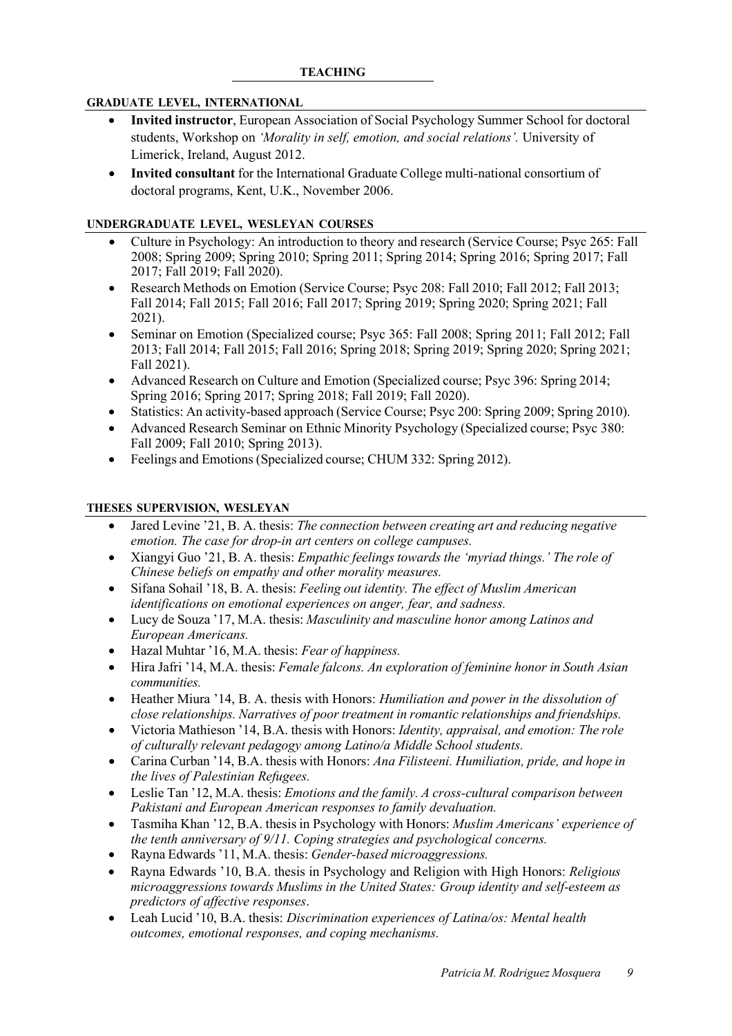### **GRADUATE LEVEL, INTERNATIONAL**

- **Invited instructor**, European Association of Social Psychology Summer School for doctoral students, Workshop on *'Morality in self, emotion, and social relations'.* University of Limerick, Ireland, August 2012.
- **Invited consultant** for the International Graduate College multi-national consortium of doctoral programs, Kent, U.K., November 2006.

### **UNDERGRADUATE LEVEL, WESLEYAN COURSES**

- Culture in Psychology: An introduction to theory and research (Service Course; Psyc 265: Fall 2008; Spring 2009; Spring 2010; Spring 2011; Spring 2014; Spring 2016; Spring 2017; Fall 2017; Fall 2019; Fall 2020).
- Research Methods on Emotion (Service Course; Psyc 208: Fall 2010; Fall 2012; Fall 2013; Fall 2014; Fall 2015; Fall 2016; Fall 2017; Spring 2019; Spring 2020; Spring 2021; Fall 2021).
- Seminar on Emotion (Specialized course; Psyc 365: Fall 2008; Spring 2011; Fall 2012; Fall 2013; Fall 2014; Fall 2015; Fall 2016; Spring 2018; Spring 2019; Spring 2020; Spring 2021; Fall 2021).
- Advanced Research on Culture and Emotion (Specialized course; Psyc 396: Spring 2014; Spring 2016; Spring 2017; Spring 2018; Fall 2019; Fall 2020).
- Statistics: An activity-based approach (Service Course; Psyc 200: Spring 2009; Spring 2010).
- Advanced Research Seminar on Ethnic Minority Psychology (Specialized course; Psyc 380: Fall 2009; Fall 2010; Spring 2013).
- Feelings and Emotions (Specialized course; CHUM 332: Spring 2012).

### **THESES SUPERVISION, WESLEYAN**

- Jared Levine '21, B. A. thesis: *The connection between creating art and reducing negative emotion. The case for drop-in art centers on college campuses.*
- Xiangyi Guo '21, B. A. thesis: *Empathic feelings towards the 'myriad things.' The role of Chinese beliefs on empathy and other morality measures.*
- Sifana Sohail '18, B. A. thesis: *Feeling out identity. The effect of Muslim American identifications on emotional experiences on anger, fear, and sadness.*
- Lucy de Souza '17, M.A. thesis: *Masculinity and masculine honor among Latinos and European Americans.*
- Hazal Muhtar '16, M.A. thesis: *Fear of happiness.*
- Hira Jafri '14, M.A. thesis: *Female falcons. An exploration of feminine honor in South Asian communities.*
- Heather Miura '14, B. A. thesis with Honors: *Humiliation and power in the dissolution of close relationships. Narratives of poor treatment in romantic relationships and friendships.*
- Victoria Mathieson '14, B.A. thesis with Honors: *Identity, appraisal, and emotion: The role of culturally relevant pedagogy among Latino/a Middle School students.*
- Carina Curban '14, B.A. thesis with Honors: *Ana Filisteeni. Humiliation, pride, and hope in the lives of Palestinian Refugees.*
- Leslie Tan '12, M.A. thesis: *Emotions and the family. A cross-cultural comparison between Pakistani and European American responses to family devaluation.*
- Tasmiha Khan '12, B.A. thesis in Psychology with Honors: *Muslim Americans' experience of the tenth anniversary of 9/11. Coping strategies and psychological concerns.*
- Rayna Edwards '11, M.A. thesis: *Gender-based microaggressions.*
- Rayna Edwards '10, B.A. thesis in Psychology and Religion with High Honors: *Religious microaggressions towards Muslims in the United States: Group identity and self-esteem as predictors of affective responses*.
- Leah Lucid '10, B.A. thesis: *Discrimination experiences of Latina/os: Mental health outcomes, emotional responses, and coping mechanisms.*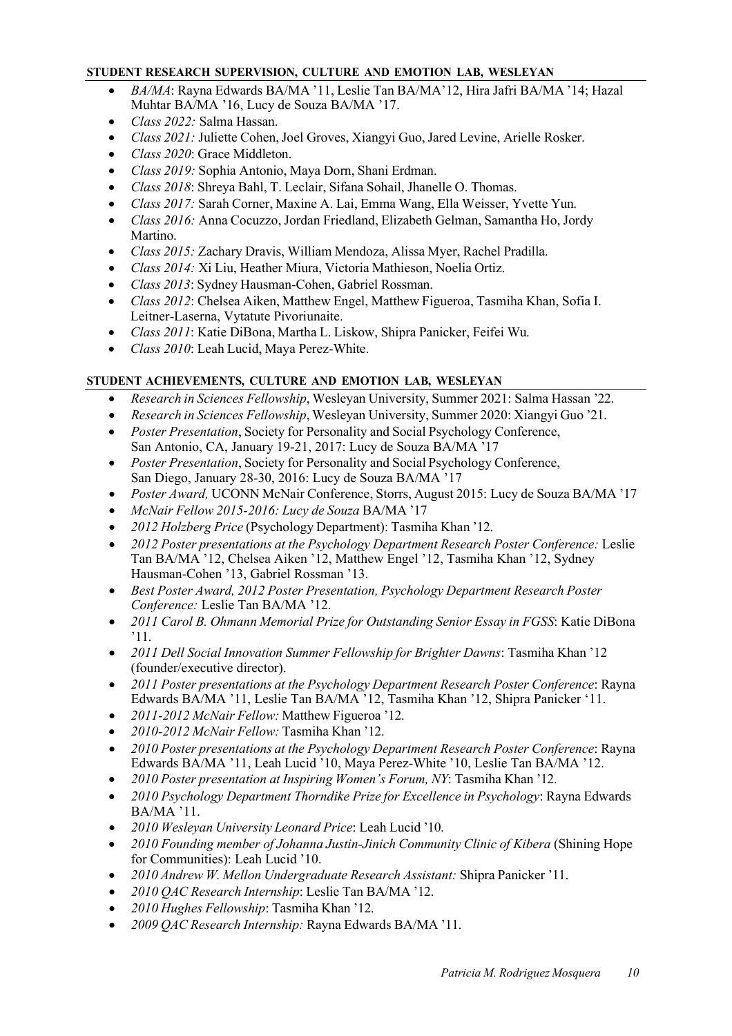# **STUDENT RESEARCH SUPERVISION, CULTURE AND EMOTION LAB, WESLEYAN**

- *BA/MA*: Rayna Edwards BA/MA '11, Leslie Tan BA/MA'12, Hira Jafri BA/MA '14; Hazal Muhtar BA/MA '16, Lucy de Souza BA/MA '17.
- *Class 2022:* Salma Hassan.
- *Class 2021:* Juliette Cohen,Joel Groves, Xiangyi Guo,Jared Levine, Arielle Rosker.
- *Class 2020*: Grace Middleton.
- *Class 2019:* Sophia Antonio, Maya Dorn, Shani Erdman.
- *Class 2018*: Shreya Bahl, T. Leclair, Sifana Sohail, Jhanelle O. Thomas.
- *Class 2017:* Sarah Corner, Maxine A. Lai, Emma Wang, Ella Weisser, Yvette Yun.
- *Class 2016:* Anna Cocuzzo, Jordan Friedland, Elizabeth Gelman, Samantha Ho, Jordy Martino.
- *Class 2015:* Zachary Dravis, William Mendoza, Alissa Myer, Rachel Pradilla.
- *Class 2014:* Xi Liu, Heather Miura, Victoria Mathieson, Noelia Ortiz.
- *Class 2013*: Sydney Hausman-Cohen, Gabriel Rossman.
- *Class 2012*: Chelsea Aiken, Matthew Engel, Matthew Figueroa, Tasmiha Khan, Sofia I. Leitner-Laserna, Vytatute Pivoriunaite.
- *Class 2011*: Katie DiBona, Martha L. Liskow, Shipra Panicker, Feifei Wu.
- *Class 2010*: Leah Lucid, Maya Perez-White.

# **STUDENT ACHIEVEMENTS, CULTURE AND EMOTION LAB, WESLEYAN**

- *Research in Sciences Fellowship*, Wesleyan University, Summer 2021: Salma Hassan '22.
- *Research in Sciences Fellowship*, Wesleyan University, Summer 2020: Xiangyi Guo '21.
- *Poster Presentation*, Society for Personality and Social Psychology Conference, San Antonio, CA, January 19-21, 2017: Lucy de Souza BA/MA '17
- *Poster Presentation*, Society for Personality and Social Psychology Conference, San Diego, January 28-30, 2016: Lucy de Souza BA/MA '17
- *Poster Award,* UCONN McNair Conference, Storrs, August 2015: Lucy de Souza BA/MA '17
- *McNair Fellow 2015-2016: Lucy de Souza* BA/MA '17
- *2012 Holzberg Price* (Psychology Department): Tasmiha Khan '12.
- *2012 Poster presentations at the Psychology Department Research Poster Conference:* Leslie Tan BA/MA '12, Chelsea Aiken '12, Matthew Engel '12, Tasmiha Khan '12, Sydney Hausman-Cohen '13, Gabriel Rossman '13.
- *Best Poster Award, 2012 Poster Presentation, Psychology Department Research Poster Conference:* Leslie Tan BA/MA '12.
- *2011 Carol B. Ohmann Memorial Prize for Outstanding Senior Essay in FGSS*: Katie DiBona '11.
- *2011 Dell Social Innovation Summer Fellowship for Brighter Dawns*: Tasmiha Khan '12 (founder/executive director).
- *2011 Poster presentations at the Psychology Department Research Poster Conference*: Rayna Edwards BA/MA '11, Leslie Tan BA/MA '12, Tasmiha Khan '12, Shipra Panicker '11.
- *2011-2012 McNair Fellow:* Matthew Figueroa '12.
- *2010-2012 McNair Fellow:* Tasmiha Khan '12.
- *2010 Poster presentations at the Psychology Department Research Poster Conference*: Rayna Edwards BA/MA '11, Leah Lucid '10, Maya Perez-White '10, Leslie Tan BA/MA '12.
- *2010 Poster presentation at Inspiring Women's Forum, NY*: Tasmiha Khan '12.
- *2010 Psychology Department Thorndike Prize for Excellence in Psychology*: Rayna Edwards BA/MA '11.
- *2010 Wesleyan University Leonard Price*: Leah Lucid '10.
- *2010 Founding member of Johanna Justin-Jinich Community Clinic of Kibera* (Shining Hope for Communities): Leah Lucid '10.
- *2010 Andrew W. Mellon Undergraduate Research Assistant:* Shipra Panicker '11.
- *2010 QAC Research Internship*: Leslie Tan BA/MA '12.
- *2010 Hughes Fellowship*: Tasmiha Khan '12.
- *2009 QAC Research Internship:* Rayna Edwards BA/MA '11.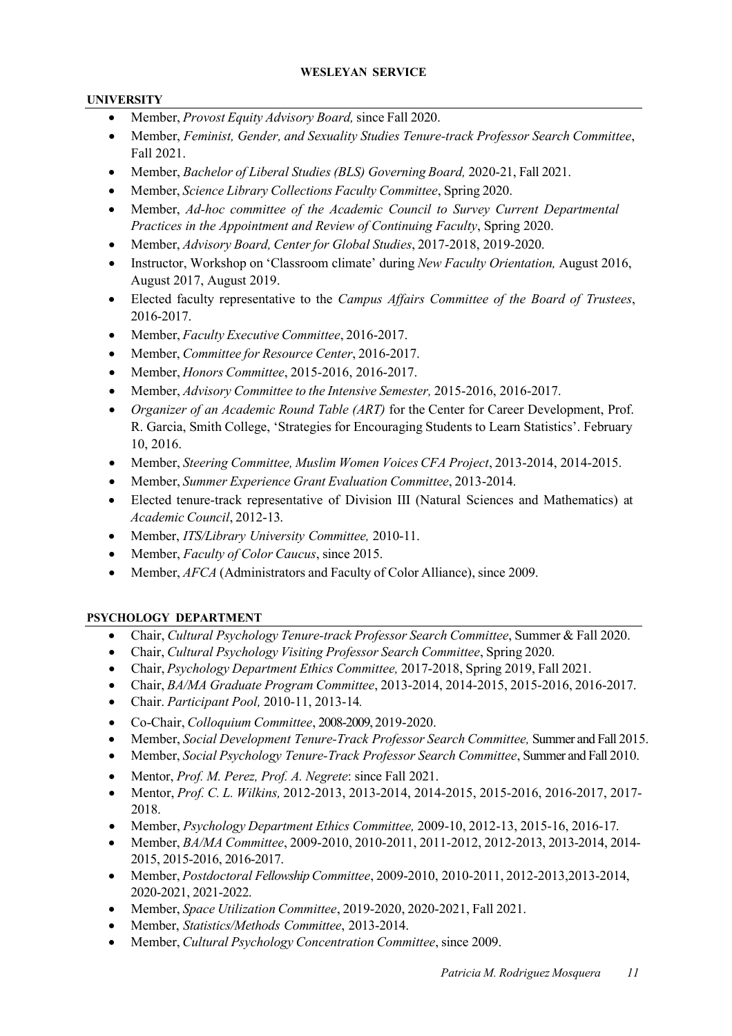## **WESLEYAN SERVICE**

## **UNIVERSITY**

- Member, *Provost Equity Advisory Board,* since Fall 2020.
- Member, *Feminist, Gender, and Sexuality Studies Tenure-track Professor Search Committee*, Fall 2021.
- Member, *Bachelor of Liberal Studies (BLS) Governing Board,* 2020-21, Fall 2021.
- Member, *Science Library Collections Faculty Committee*, Spring 2020.
- Member, *Ad-hoc committee of the Academic Council to Survey Current Departmental Practices in the Appointment and Review of Continuing Faculty*, Spring 2020.
- Member, *Advisory Board, Center for Global Studies*, 2017-2018, 2019-2020.
- Instructor, Workshop on 'Classroom climate' during *New Faculty Orientation,* August 2016, August 2017, August 2019.
- Elected faculty representative to the *Campus Affairs Committee of the Board of Trustees*, 2016-2017.
- Member, *Faculty Executive Committee*, 2016-2017.
- Member, *Committee for Resource Center*, 2016-2017.
- Member, *Honors Committee*, 2015-2016, 2016-2017.
- Member, *Advisory Committee to the Intensive Semester,* 2015-2016, 2016-2017.
- *Organizer of an Academic Round Table (ART)* for the Center for Career Development, Prof. R. Garcia, Smith College, 'Strategies for Encouraging Students to Learn Statistics'. February 10, 2016.
- Member, *Steering Committee, Muslim Women Voices CFA Project*, 2013-2014, 2014-2015.
- Member, *Summer Experience Grant Evaluation Committee*, 2013-2014.
- Elected tenure-track representative of Division III (Natural Sciences and Mathematics) at *Academic Council*, 2012-13.
- Member, *ITS/Library University Committee,* 2010-11.
- Member, *Faculty of Color Caucus*, since 2015.
- Member, *AFCA* (Administrators and Faculty of Color Alliance), since 2009.

# **PSYCHOLOGY DEPARTMENT**

- Chair, *Cultural Psychology Tenure-track Professor Search Committee*, Summer & Fall 2020.
- Chair, *Cultural Psychology Visiting Professor Search Committee*, Spring 2020.
- Chair, *Psychology Department Ethics Committee,* 2017-2018, Spring 2019, Fall 2021.
- Chair, *BA/MA Graduate Program Committee*, 2013-2014, 2014-2015, 2015-2016, 2016-2017.
- Chair. *Participant Pool,* 2010-11, 2013-14*.*
- Co-Chair, *Colloquium Committee*, 2008-2009, 2019-2020.
- Member, *Social Development Tenure-Track Professor Search Committee,* Summer and Fall 2015.
- Member, *Social Psychology Tenure-Track Professor Search Committee*, Summer and Fall 2010.
- Mentor, *Prof. M. Perez, Prof. A. Negrete*: since Fall 2021.
- Mentor, *Prof. C. L. Wilkins,* 2012-2013, 2013-2014, 2014-2015, 2015-2016, 2016-2017, 2017- 2018.
- Member, *Psychology Department Ethics Committee,* 2009-10, 2012-13, 2015-16, 2016-17.
- Member, *BA/MA Committee*, 2009-2010, 2010-2011, 2011-2012, 2012-2013, 2013-2014, 2014- 2015, 2015-2016, 2016-2017.
- Member, *Postdoctoral Fellowship Committee*, 2009-2010, 2010-2011, 2012-2013,2013-2014, 2020-2021, 2021-2022.
- Member, *Space Utilization Committee*, 2019-2020, 2020-2021, Fall 2021.
- Member, *Statistics/Methods Committee*, 2013-2014.
- Member, *Cultural Psychology Concentration Committee*, since 2009.